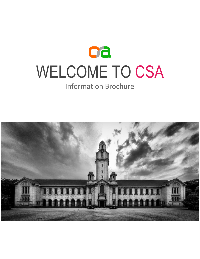

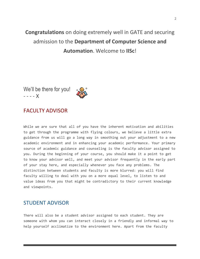# **Congratulations** on doing extremely well in GATE and securing admission to the **Department of Computer Science and Automation**. Welcome to **IISc**!

We'll be there for you! - - - - X

# FACULTY ADVISOR

While we are sure that all of you have the inherent motivation and abilities to get through the programme with flying colours, we believe a little extra guidance from us will go a long way in smoothing out your adjustment to a new academic environment and in enhancing your academic performance. Your primary source of academic guidance and counseling is the faculty advisor assigned to you. During the beginning of your course, you should make it a point to get to know your advisor well, and meet your advisor frequently in the early part of your stay here, and especially whenever you face any problems. The distinction between students and faculty is more blurred: you will find faculty willing to deal with you on a more equal level, to listen to and value ideas from you that might be contradictory to their current knowledge and viewpoints.

# STUDENT ADVISOR

There will also be a student advisor assigned to each student. They are someone with whom you can interact closely in a friendly and informal way to help yourself acclimatize to the environment here. Apart from the faculty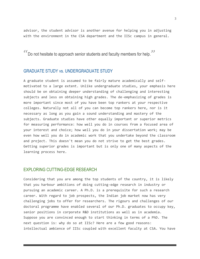advisor, the student advisor is another avenue for helping you in adjusting with the environment in the CSA department and the IISc campus in general.

"Do not hesitate to approach senior students and faculty members for help."

### GRADUATE STUDY vs. UNDERGRADUATE STUDY

A graduate student is assumed to be fairly mature academically and selfmotivated to a large extent. Unlike undergraduate studies, your emphasis here should be on obtaining deeper understanding of challenging and interesting subjects and less on obtaining high grades. The de-emphasizing of grades is more important since most of you have been top rankers at your respective colleges. Naturally not all of you can become top rankers here, nor is it necessary as long as you gain a sound understanding and mastery of the subjects. Graduate studies have other equally important or superior metrics for measuring performance: how well you do in courses from a focused area of your interest and choice; how well you do in your dissertation work; may be even how well you do in academic work that you undertake beyond the classroom and project. This doesn't mean you do not strive to get the best grades. Getting superior grades is important but is only one of many aspects of the learning process here.

# EXPLORING CUTTING-EDGE RESEARCH

Considering that you are among the top students of the country, it is likely that you harbour ambitions of doing cutting-edge research in industry or pursuing an academic career. A Ph.D. is a prerequisite for such a research career. With regard to job prospects, the Indian job market now has very challenging jobs to offer for researchers. The rigours and challenges of our doctoral programme have enabled several of our Ph.D. graduates to occupy key, senior positions in corporate R&D institutions as well as in academia. Suppose you are convinced enough to start thinking in terms of a PhD. The next question is: why do so at IISc? Here are a few good reasons: intellectual ambience of IISc coupled with excellent faculty at CSA. You have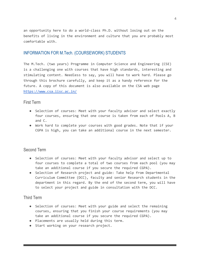an opportunity here to do a world-class Ph.D. without losing out on the benefits of living in the environment and culture that you are probably most comfortable with.

# INFORMATION FOR M.Tech. (COURSEWORK) STUDENTS

The M.Tech. (two years) Programme in Computer Science and Engineering (CSE) is a challenging one with courses that have high standards, interesting and stimulating content. Needless to say, you will have to work hard. Please go through this brochure carefully, and keep it as a handy reference for the future. A copy of this document is also available on the CSA web page [https://www.csa.iisc.ac.in/](http://www.csa.iisc.ac.in/)

# First Term

- Selection of courses: Meet with your faculty advisor and select exactly four courses, ensuring that one course is taken from each of Pools A, B and C.
- Work hard to complete your courses with good grades. Note that if your CGPA is high, you can take an additional course in the next semester.

# Second Term

- Selection of courses: Meet with your faculty advisor and select up to four courses to complete a total of two courses from each pool (you may take an additional course if you secure the required CGPA).
- Selection of Research project and guide: Take help from Departmental Curriculum Committee (DCC), faculty and senior Research students in the department in this regard. By the end of the second term, you will have to select your project and guide in consultation with the DCC.

# Third Term

- Selection of courses: Meet with your guide and select the remaining courses, ensuring that you finish your course requirements (you may take an additional course if you secure the required CGPA).
- Placements are usually held during this term.
- Start working on your research project.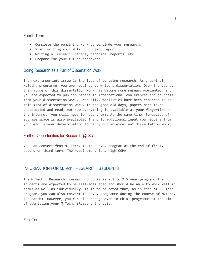### Fourth Term

- Complete the remaining work to conclude your research.
- Start writing your M.Tech. project report.
- Writing of research papers, technical reports, etc.
- Prepare for your future endeavors

### Doing Research as a Part of Dissertation Work

The next important issue is the idea of pursuing research. As a part of M.Tech. programme, you are required to write a dissertation. Over the years, the nature of this dissertation work has become more research-oriented, and you are expected to publish papers in international conferences and journals from your dissertation work. Gradually, facilities have been enhanced to do this kind of dissertation work. In the good old days, papers need to be photocopied and read, but now everything is available at your fingertips on the internet (you still need to read them). At the same time, terabytes of storage space is also available. The only additional input you require from your end is your determination to carry out an excellent dissertation work.

### Further Opportunities for Research @IISc

You can convert from M. Tech. to the Ph.D. program at the end of first, second or third term. The requirement is a high CGPA.

# INFORMATION FOR M.Tech. (RESEARCH) STUDENTS

The M.Tech. (Research) research program is a 1 to 2.5 year program. The students are expected to be self-motivated and should be able to work well in teams as well as individually. It is to be noted that, as in case of M. Tech. program, you can also convert to Ph.D. programme during the course of M.Tech. (Research). However, you can also change over to Ph.D. programme at the time of submitting your M.Tech. (Research) thesis.

First Term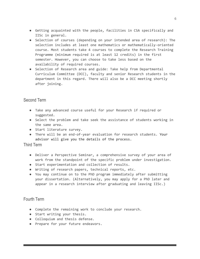- Getting acquainted with the people, facilities in CSA specifically and IISc in general.
- Selection of courses (depending on your intended area of research): The selection includes at least one mathematics or mathematically-oriented course. Most students take 4 courses to complete the Research Training Programme (minimum required is at least 12 credits) in the first semester. However, you can choose to take less based on the availability of required courses.
- Selection of Research area and guide: Take help from Departmental Curriculum Committee (DCC), faculty and senior Research students in the department in this regard. There will also be a DCC meeting shortly after joining.

# Second Term

- Take any advanced course useful for your Research if required or suggested.
- Select the problem and take seek the assistance of students working in the same area.
- Start literature survey.
- There will be an end-of-year evaluation for research students. Your advisor will give you the details of the process.

# Third Term

- Deliver a Perspective Seminar, a comprehensive survey of your area of work from the standpoint of the specific problem under investigation.
- Start experimentation and collection of results.
- Writing of research papers, technical reports, etc.
- You may continue on to the PhD program immediately after submitting your dissertation. (Alternatively, you may apply for a PhD later and appear in a research interview after graduating and leaving IISc.)

# Fourth Term

- Complete the remaining work to conclude your research.
- Start writing your thesis.
- Colloquium and thesis defense.
- Prepare for your future endeavors.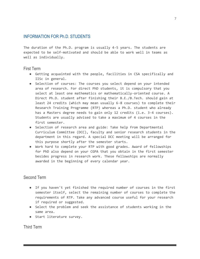# INFORMATION FOR Ph.D. STUDENTS

The duration of the Ph.D. program is usually 4-5 years. The students are expected to be self-motivated and should be able to work well in teams as well as individually.

# First Term

- Getting acquainted with the people, facilities in CSA specifically and IISc in general.
- Selection of courses: The courses you select depend on your intended area of research. For direct PhD students, it is compulsory that you select at least one mathematics or mathematically-oriented course. A Direct Ph.D. student after finishing their B.E./B.Tech. should gain at least 24 credits (which may mean usually 6-8 courses) to complete their Research Training Programme (RTP) whereas a Ph.D. student who already has a Masters degree needs to gain only 12 credits (i.e. 3-4 courses). Students are usually advised to take a maximum of 4 courses in the first semester.
- Selection of research area and guide: Take help from Departmental Curriculum Committee (DCC), faculty and senior research students in the department in this regard. A special DCC meeting will be arranged for this purpose shortly after the semester starts.
- Work hard to complete your RTP with good grades. Award of fellowships for PhD also depend on your CGPA that you obtain in the first semester besides progress in research work. These fellowships are normally awarded in the beginning of every calendar year.

# Second Term

- If you haven't yet finished the required number of courses in the first semester itself, select the remaining number of courses to complete the requirements of RTP. Take any advanced course useful for your research if required or suggested.
- Select the problem and seek the assistance of students working in the same area.
- Start literature survey.

Third Term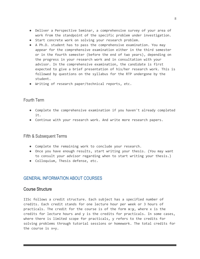- Deliver a Perspective Seminar, a comprehensive survey of your area of work from the standpoint of the specific problem under investigation.
- Start concrete work on solving your research problem.
- A Ph.D. student has to pass the comprehensive examination. You may appear for the comprehensive examination either in the third semester or in the fourth semester (before the end of two years), depending on the progress in your research work and in consultation with your advisor. In the comprehensive examination, the candidate is first expected to give a brief presentation of his/her research work. This is followed by questions on the syllabus for the RTP undergone by the student.
- Writing of research paper/technical reports, etc.

# Fourth Term

- Complete the comprehensive examination if you haven't already completed it.
- Continue with your research work. And write more research papers.

# Fifth & Subsequent Terms

- Complete the remaining work to conclude your research.
- Once you have enough results, start writing your thesis. (You may want to consult your advisor regarding when to start writing your thesis.)
- Colloquium, Thesis defense, etc.

# GENERAL INFORMATION ABOUT COURSES

# Course Structure

IISc follows a credit structure. Each subject has a specified number of credits. Each credit stands for one lecture hour per week or 3 hours of practicals. The credit for the course is of the form **x:y**, where x is the credits for lecture hours and y is the credits for practicals. In some cases, where there is limited scope for practicals, y refers to the credits for solving problems through tutorial sessions or homework. The total credits for the course is x+y.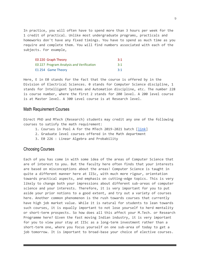In practice, you will often have to spend more than 3 hours per week for the 1 credit of practical. Unlike most undergraduate programs, practicals and homeworks don't have any fixed timings. You have to spend as much time as you require and complete them. You will find numbers associated with each of the subjects. For example,

| EO 220 Graph Theory                      | 3:1 |
|------------------------------------------|-----|
| EO 227 Program Analysis and Verification | 3:1 |
| E1 254 Game Theory                       | 3:1 |

Here, E in E0 stands for the fact that the course is offered by in the Division of Electrical Sciences. 0 stands for Computer Science discipline, 1 stands for Intelligent Systems and Automation discipline, etc. The number 228 is course number, where the first 2 stands for 200 level. A 200 level course is at Master level. A 300 Level course is at Research level.

### Math Requirement Courses

Direct PhD and MTech (Research) students may credit any one of the following courses to satisfy the math requirement:

- 1. Courses in Pool A for the MTech 2019-2021 batch [\[link\]](https://www.csa.iisc.ac.in/academics/academics-degrees-me.php)
- 2. Graduate level courses offered in the Math department
- 3. E0 226 : Linear Algebra and Probability

### Choosing Courses

Each of you has come in with some idea of the areas of Computer Science that are of interest to you. But the faculty here often finds that your interests are based on misconceptions about the areas! Computer Science is taught in quite a different manner here at IISc, with much more rigour, orientation towards practical aspects, and emphasis on cutting-edge topics. This is very likely to change both your impressions about different sub-areas of computer science and your interests. Therefore, it is very important for you to put aside your prior notions to a good extent, and try out a variety of courses here. Another common phenomenon is the rush towards courses that currently have high job market value. While it is natural for students to lean towards such courses, it is equally important to not lose yourself to herd mentality or short-term prospects. So how does all this affect your M.Tech. or Research Programme here? Given the fast moving Indian industry, it is very important for you to view your stay at IISc as a long-term investment rather than a short-term one, where you focus yourself on one sub-area of today to get a job tomorrow. It is important to broad-base your choice of elective courses.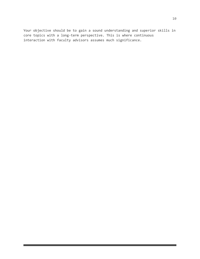Your objective should be to gain a sound understanding and superior skills in core topics with a long-term perspective. This is where continuous interaction with faculty advisors assumes much significance.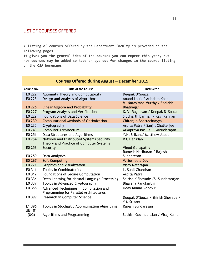# LIST OF COURSES OFFERED

A listing of courses offered by the Department faculty is provided on the following pages.

**It gives you the general idea of the courses you can expect this year, but new courses may be added so keep an eye out for changes in the course listing on the CSA homepage.**

| Course No.              | <b>Title of the Course</b>                                                          | Instructor                                        |
|-------------------------|-------------------------------------------------------------------------------------|---------------------------------------------------|
| E0 222                  | Automata Theory and Computability                                                   | Deepak D'Souza                                    |
| E0 225                  | Design and Analysis of Algorithms                                                   | Anand Louis / Arindam Khan                        |
|                         |                                                                                     | M. Narasimha Murthy / Shalabh                     |
| E0 226                  | Linear Algebra and Probability                                                      | <b>Bhatnagar</b>                                  |
| E0 227                  | Program Analysis and Verification                                                   | K. V. Raghavan / Deepak D'Souza                   |
| E0 229                  | <b>Foundations of Data Science</b>                                                  | Siddharth Barman / Ravi Kannan                    |
| E0 230                  | <b>Computational Methods of Optimization</b>                                        | Chiranjib Bhattacharyya                           |
| E0 235                  | Cryptography                                                                        | Arpita Patra / Sanjit Chatterjee                  |
| E0 243                  | <b>Computer Architecture</b>                                                        | Arkaprava Basu / R Govindarajan                   |
| E0 251                  | Data Structures and Algorithms                                                      | Y.N. Srikant/ Matthew Jacob                       |
| E0 254                  | Network and Distributed Systems Security<br>Theory and Practice of Computer Systems | R C Hansdah                                       |
| E0 256                  | Security                                                                            | <b>Vinod Ganapathy</b>                            |
|                         |                                                                                     | Ramesh Hariharan / Rajesh                         |
| E0 259                  | Data Analytics                                                                      | Sundaresan                                        |
| E0 267                  | <b>Soft Computing</b>                                                               | V. Susheela Devi                                  |
| E0 271                  | <b>Graphics and Visualization</b>                                                   | Vijay Natarajan                                   |
| E0 311                  | <b>Topics in Combinatorics</b>                                                      | L. Sunil Chandran                                 |
| E0 312                  | Foundations of Secure Computation                                                   | Arpita Patra                                      |
| E0 334                  | Deep Learning for Natural Language Processing                                       | Shirish K Shevade / S. Sundararajan               |
| E0 337                  | Topics in Advanced Cryptography                                                     | Bhavana Kanukurthi                                |
| EO 358                  | Advanced Techniques in Compilation and                                              | Uday Kumar Reddy B                                |
|                         | Programming for Parallel Architectures                                              |                                                   |
| E0 399                  | Research in Computer Science                                                        | Deepak D'Souza / Shirish Shevade /<br>Y N Srikant |
| E1 396<br><b>UE 101</b> | Topics in Stochastic Approximation Algorithms                                       | Rajesh Sundaresan                                 |
| (UG)                    | Algorithms and Programming                                                          | Sathish Govindarajan / Viraj Kumar                |

# **Courses Offered during August – December 2019**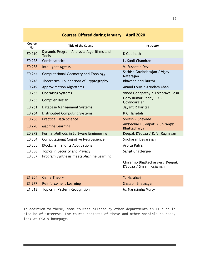| Course<br>No. | <b>Title of the Course</b>                               | Instructor                                                    |
|---------------|----------------------------------------------------------|---------------------------------------------------------------|
| E0 210        | Dynamic Program Analysis: Algorithms and<br><b>Tools</b> | <b>K</b> Gopinath                                             |
| E0 228        | Combinatorics                                            | L. Sunil Chandran                                             |
| E0 238        | <b>Intelligent Agents</b>                                | V. Susheela Devi                                              |
| E0 244        | Computational Geometry and Topology                      | Sathish Govindarajan / Vijay<br>Natarajan                     |
| E0 248        | Theoretical Foundations of Cryptography                  | Bhavana Kanukurthi                                            |
| E0 249        | <b>Approximation Algorithms</b>                          | Anand Louis / Arindam Khan                                    |
| E0 253        | <b>Operating Systems</b>                                 | Vinod Ganapathy / Arkaprava Basu                              |
| E0 255        | <b>Compiler Design</b>                                   | Uday Kumar Reddy B / R.<br>Govindarajan                       |
| E0 261        | Database Management Systems                              | Jayant R Haritsa                                              |
| E0 264        | <b>Distributed Computing Systems</b>                     | R C Hansdah                                                   |
| E0 268        | <b>Practical Data Science</b>                            | <b>Shirish K Shevade</b>                                      |
| E0 270        | <b>Machine Learning</b>                                  | Ambedkar Dukkipati / Chiranjib<br>Bhattacharya                |
| E0 272        | Formal Methods in Software Engineering                   | Deepak D'Souza / K. V. Raghavan                               |
| E0 304        | <b>Computational Cognitive Neuroscience</b>              | Sridharan Devarajan                                           |
| E0 305        | Blockchain and its Applications                          | Arpita Patra                                                  |
| E0 338        | Topics in Security and Privacy                           | Sanjit Chatterjee                                             |
| E0 307        | Program Synthesis meets Machine Learning                 |                                                               |
|               |                                                          | Chiranjib Bhattacharyya / Deepak<br>D'Souza / Sriram Rajamani |
| E1 254        | <b>Game Theory</b>                                       | Y. Narahari                                                   |
| E1 277        | <b>Reinforcement Learning</b>                            | Shalabh Bhatnagar                                             |

# **Courses Offered during January – April 2020**

In addition to these, some courses offered by other departments in IISc could also be of interest. For course contents of these and other possible courses, look at CSA's homepage.

E1 313 Topics in Pattern Recognition M. Narasimha Murty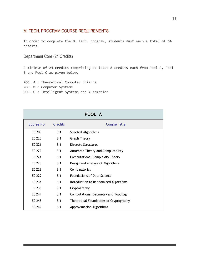# M. TECH. PROGRAM COURSE REQUIREMENTS

In order to complete the M. Tech. program, students must earn a total of **64** credits.

Department Core (24 Credits)

A minimum of 24 credits comprising at least 8 credits each from Pool A, Pool B and Pool C as given below.

**POOL A** : Theoretical Computer Science **POOL B** : Computer Systems **POOL C** : Intelligent Systems and Automation

| POOL A           |                |                                         |  |
|------------------|----------------|-----------------------------------------|--|
| <b>Course No</b> | <b>Credits</b> | <b>Course Title</b>                     |  |
| EQ 203           | 3:1            | Spectral Algorithms                     |  |
| E0 220           | 3:1            | <b>Graph Theory</b>                     |  |
| E0 221           | 3:1            | Discrete Structures                     |  |
| E0 222           | 3:1            | Automata Theory and Computability       |  |
| E0 224           | 3:1            | <b>Computational Complexity Theory</b>  |  |
| E0 225           | 3:1            | Design and Analysis of Algorithms       |  |
| E0 228           | 3:1            | Combinatorics                           |  |
| E0 229           | 3:1            | <b>Foundations of Data Science</b>      |  |
| E0 234           | 3:1            | Introduction to Randomized Algorithms   |  |
| E0 235           | 3:1            | Cryptography                            |  |
| E0 244           | 3:1            | Computational Geometry and Topology     |  |
| E0 248           | 3:1            | Theoretical Foundations of Cryptography |  |
| E0 249           | 3:1            | Approximation Algorithms                |  |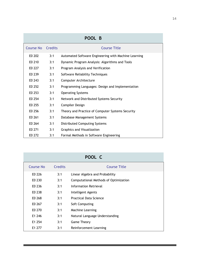| POOL B                          |                |                                                      |
|---------------------------------|----------------|------------------------------------------------------|
| <b>Course No</b>                | <b>Credits</b> | <b>Course Title</b>                                  |
| E <sub>0</sub> 2 <sub>0</sub> 2 | 3:1            | Automated Software Engineering with Machine Learning |
| E0 210                          | 3:1            | Dynamic Program Analysis: Algorithms and Tools       |
| E0 227                          | 3:1            | Program Analysis and Verification                    |
| E0 239                          | 3:1            | Software Reliability Techniques                      |
| E0 243                          | 3:1            | Computer Architecture                                |
| E0 252                          | 3:1            | Programming Languages: Design and Implementation     |
| E0 253                          | 3:1            | <b>Operating Systems</b>                             |
| E0 254                          | 3:1            | Network and Distributed Systems Security             |
| E0 255                          | 3:1            | Compiler Design                                      |
| E0 256                          | 3:1            | Theory and Practice of Computer Systems Security     |
| E0 261                          | 3:1            | Database Management Systems                          |
| E0 264                          | 3:1            | Distributed Computing Systems                        |
| E0 271                          | 3:1            | Graphics and Visualization                           |
| E0 272                          | 3:1            | Formal Methods in Software Engineering               |

| POOL C    |                |                                       |  |
|-----------|----------------|---------------------------------------|--|
| Course No | <b>Credits</b> | <b>Course Title</b>                   |  |
| E0 226    | 3:1            | Linear Algebra and Probability        |  |
| E0 230    | 3:1            | Computational Methods of Optimization |  |
| E0 236    | 3:1            | Information Retrieval                 |  |
| E0 238    | 3:1            | Intelligent Agents                    |  |
| E0 268    | 3:1            | <b>Practical Data Science</b>         |  |
| E0 267    | 3:1            | Soft Computing                        |  |
| E0 270    | 3:1            | Machine Learning                      |  |
| E1 246    | 3:1            | Natural Language Understanding        |  |
| E1 254    | 3:1            | <b>Game Theory</b>                    |  |
| E1 277    | 3:1            | Reinforcement Learning                |  |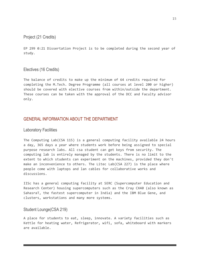Project (21 Credits)

EP 299 0:21 Dissertation Project is to be completed during the second year of study.

Electives (16 Credits)

The balance of credits to make up the minimum of 64 credits required for completing the M.Tech. Degree Programme (all courses at level 200 or higher) should be covered with elective courses from within/outside the department. These courses can be taken with the approval of the DCC and Faculty advisor only.

# GENERAL INFORMATION ABOUT THE DEPARTMENT

Laboratory Facilities

The Computing Lab(CSA 115) is a general computing facility available 24 hours a day, 365 days a year where students work before being assigned to special purpose research labs. All csa student can get keys from security. The computing lab is entirely managed by the students. There is no limit to the extent to which students can experiment on the machines, provided they don't make an inconvenience to others. The Litec Lab(CSA 227) is the place where people come with laptops and lan cables for collaborative works and discussions.

IISc has a general computing facility at SERC (Supercomputer Education and Research Center) housing supercomputers such as the Cray CX40 (also known as SahasraT, the fastest supercomputer in India) and the IBM Blue Gene, and clusters, workstations and many more systems.

# Student Lounge(CSA 219)

A place for students to eat, sleep, innovate. A variety facilities such as Kettle for heating water, Refrigerator, wifi, sofa, whiteboard with markers are available.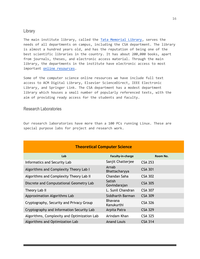# Library

The main institute library, called the [Tata Memorial Library,](http://library.iisc.ac.in/) serves the needs of all departments on campus, including the CSA department. The library is almost a hundred years old, and has the reputation of being one of the best scientific libraries in the country. It has about 200,000 books, apart from journals, theses, and electronic access material. Through the main library, the departments in the institute have electronic access to most important [online resources.](http://anuroopa.library.iisc.ernet.in/ejournals/MHRD-Ejournals/ejournal_combine_rrrr.php)

Some of the computer science online resources we have include full text access to ACM Digital Library, Elsevier ScienceDirect, IEEE Electronic Library, and Springer Link. The CSA department has a modest department library which houses a small number of popularly referenced texts, with the aim of providing ready access for the students and faculty.

# Research Laboratories

Our research laboratories have more than a 100 PCs running Linux. These are special purpose labs for project and research work.

| <b>Theoretical Computer Science</b>         |                              |                |  |
|---------------------------------------------|------------------------------|----------------|--|
| Lab                                         | Faculty-in-charge            | Room No.       |  |
| Informatics and Security Lab                | Sanjit Chatterjee            | <b>CSA 253</b> |  |
| Algorithms and Complexity Theory Lab I      | Arnab<br>Bhattacharyya       | <b>CSA 301</b> |  |
| Algorithms and Complexity Theory Lab II     | Chandan Saha                 | <b>CSA 302</b> |  |
| Discrete and Computational Geometry Lab     | Satish<br>Govindarajan       | <b>CSA 305</b> |  |
| Theory Lab II                               | L. Sunil Chandran            | <b>CSA 307</b> |  |
| Approximation Algorithms Lab                | Siddharth Barman             | <b>CSA 309</b> |  |
| Cryptography, Security and Privacy Group    | <b>Bhavana</b><br>Kanukurthi | <b>CSA 326</b> |  |
| Cryptography and Information Security Lab   | Arpita Patra                 | <b>CSA 329</b> |  |
| Algorithms, Complexity and Optimization Lab | Arindam Khan                 | <b>CSA 325</b> |  |
| Algorithms and Optimization Lab             | <b>Anand Louis</b>           | <b>CSA 314</b> |  |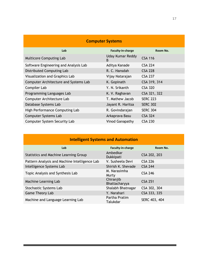| <b>Computer Systems</b>               |                        |                 |
|---------------------------------------|------------------------|-----------------|
| Lab                                   | Faculty-in-charge      | Room No.        |
| <b>Multicore Computing Lab</b>        | Uday Kumar Reddy<br>B. | <b>CSA 116</b>  |
| Software Engineering and Analysis Lab | Aditya Kanade          | <b>CSA 224</b>  |
| Distributed Computing Lab             | R. C. Hansdah          | <b>CSA 228</b>  |
| Visualization and Graphics Lab        | Vijay Natarajan        | <b>CSA 237</b>  |
| Computer Architecture and Systems Lab | K. Gopinath            | CSA 319, 314    |
| Compiler Lab                          | Y. N. Srikanth         | <b>CSA 320</b>  |
| Programming Languages Lab             | K. V. Raghavan         | CSA 321, 322    |
| Computer Architecture Lab             | T. Mathew Jacob        | <b>SERC 223</b> |
| Database Systems Lab                  | Jayant R. Haritsa      | <b>SERC 302</b> |
| High Performance Computing Lab        | R. Govindarajan        | <b>SERC 304</b> |
| <b>Computer Systems Lab</b>           | Arkaprava Basu         | <b>CSA 324</b>  |
| <b>Computer System Security Lab</b>   | Vinod Ganapathy        | <b>CSA 230</b>  |

| <b>Intelligent Systems and Automation</b>     |                            |                |  |
|-----------------------------------------------|----------------------------|----------------|--|
| Lab                                           | Faculty-in-charge          | Room No.       |  |
| <b>Statistics and Machine Learning Group</b>  | Ambedkar<br>Dukkipati      | CSA 202, 203   |  |
| Pattern Analysis and Machine Intelligence Lab | V. Susheela Devi           | <b>CSA 226</b> |  |
| Intelligence Systems Lab                      | Shirish K. Shevade         | <b>CSA 244</b> |  |
| Topic Analysis and Synthesis Lab              | M. Narasimha<br>Murty      | <b>CSA 246</b> |  |
| Machine Learning Lab                          | Chiranjib<br>Bhattacharyya | <b>CSA 251</b> |  |
| Stochastic Systems Lab                        | Shalabh Bhatnagar          | CSA 302, 304   |  |
| Game Theory Lab                               | Y. Narahari                | CSA 333, 335   |  |
| Machine and Language Learning Lab             | Partha Pratim<br>Talukdar  | SERC 403, 404  |  |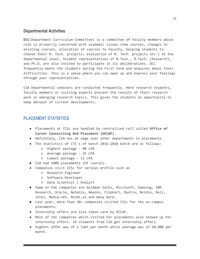# **Departmental Activities**

**DCC**(Department Curriculum Committee) is a committee of faculty members whose role is primarily concerned with academic issues (new courses, changes to existing courses, allocation of courses to faculty, helping students to choose their M. Tech. projects, evaluation of M. Tech. projects etc.) at the departmental level. Student representatives of M.Tech., M.Tech. (Research), and Ph.D. are also invited to participate in its deliberations. DCC frequently meets the students during the first term and enquires about their difficulties. This is a venue where you can open up and express your feelings through your representatives.

CSA Departmental seminars are conducted frequently. Here research students, faculty members or visiting experts present the results of their research work or emerging research topics. This gives the students an opportunity to keep abreast of current developments.

# PLACEMENT STATISTICS

- Placements at IISc are handled by centralized cell called **Office of Career Counselling And Placement (OCCAP)**.
- Definitely, CSA has an edge over other departments in placements.
- The statistics of CTC's of batch 2016-2018 batch are as follows:
	- Highest package 40 LPA
	- Average package 25 LPA
	- Lowest package 12 LPA
- CSA had 100% placements (Of course).
- Companies visit IISc for various profile such as
	- Research Engineer
	- Software Developer
	- Data Scientist / Analyst
- Some of the companies are Goldman Sachs, Microsoft, Samsung, IBM Research, Oracle, Nutanix, Amazon, Flipkart, Myntra, Nvidia, Dell, Intel, Media.net, Minds.ai and many more.
- Last year, more than 50+ companies visited IISc for the on-campus placements.
- Internship offers are also taken care by OCCAP.
- Most of the companies which visited for placements also showed up for internship offers. 19 students from CSA got internship offers.
- Highest offer was of 1 lakh per month while average was of 60,000 per month.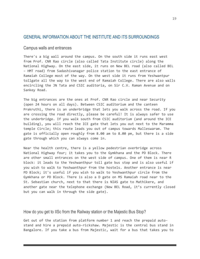# GENERAL INFORMATION ABOUT THE INSTITUTE AND ITS SURROUNDINGS

### Campus walls and entrances

There's a big wall around the campus. On the south side it runs east west from Prof. CNR Rao circle (also called Tata Institute circle) along the National Highway. On the east side, it runs on New BEL road (also called BEL – HMT road) from Sadashivanagar police station to the east entrance of Ramaiah College most of the way. On the west side it runs from Yeshwantpur tollgate all the way to the west end of Ramaiah College. There are also walls encircling the JN Tata and CSIC auditoria, on Sir C.V. Raman Avenue and on Sankey Road.

The big entrances are the ones at Prof. CNR Rao circle and near Security (open 24 hours on all days). Between CSIC auditorium and the canteen Prakruthi, there is an underbridge that lets you walk across the road. If you are crossing the road directly, please be careful! It is always safer to use the underbridge. If you walk south from CSIC auditorium (and around the ICE building), you will reach the ICE gate that lets you out next to the Maramma temple Circle; this route leads you out of campus towards Malleswaram. The gate is officially open roughly from 8.00 am to 8.00 pm, but there is a side gate through which you can always come in.

Near the health centre, there is a yellow pedestrian overbridge across National Highway four; it takes you to the Gymkhana and the PD Block. There are other small entrances on the west side of campus. One of them is near R block: it leads to the Yeshwanthpur toll gate bus stop and is also useful if you wish to walk to Yeshwanthpur from the hostels. Another entrance is near PD Block; it's useful if you wish to walk to Yeshwanthpur circle from the Gymkhana or PD Block. There is also a D gate on MS Ramaiah road near to the St. Sebastian church, next to that there is NIAS gate to Mathikere, and another gate near the telephone exchange (New BEL Road, it's currently closed but you can walk in through the side gate).

### How do you get to IISc from the Railway station or the Majestic Bus Stop?

Get out of the station from platform number 1 and reach the prepaid autostand and hire a prepaid auto-rickshaw. Majestic is the central bus stand in Bangalore. If you take a bus from Majestic, wait for a bus that takes you to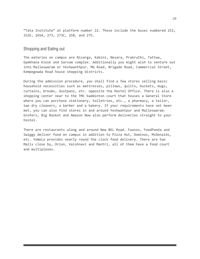"Tata Institute" at platform number 22. These include the buses numbered 252, 252E, 265A, 273, 273C, 258, and 275.

# Shopping and Eating out

The eateries on campus are Nisarga, Kabini, Nesara, Prakruthi, Tattwa, Gymkhana Kiosk and Sarvam complex. Additionally you might wish to venture out into Malleswaram or Yeshwanthpur. MG Road, Brigade Road, Commercial Street, Kempegowda Road house shopping districts.

During the admission procedure, you shall find a few stores selling basic household necessities such as mattresses, pillows, quilts, buckets, mugs, curtains, brooms, dustpans, etc. opposite the Hostel Office. There is also a shopping center near to the TMC badminton court that houses a General Store where you can purchase stationery, toiletries, etc., a pharmacy, a tailor, two dry cleaners, a barber and a bakery. If your requirements have not been met, you can also find stores in and around Yeshwantpur and Malleswaram. Grofers, Big Basket and Amazon Now also perform deliveries straight to your hostel.

There are restaurants along and around New BEL Road. Faasos, FoodPanda and Swiggy deliver food on campus in addition to Pizza Hut, Dominos, McDonalds, etc. YeWoLo provides nearly round the clock food delivery. There are two Malls close by, Orion, Vaishnavi and Mantri, all of them have a food court and multiplexes.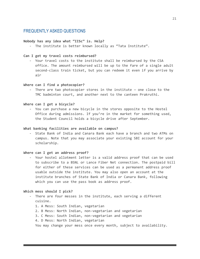# FREQUENTLY ASKED QUESTIONS

### **Nobody has any idea what "IISc" is. Help?**

- The institute is better known locally as "Tata Institute".

### **Can I get my travel costs reimbursed?**

- Your travel costs to the institute shall be reimbursed by the CSA office. The amount reimbursed will be up to the fare of a single adult second-class train ticket, but you can redeem it even if you arrive by air

### **Where can I find a photocopier?**

There are two photocopier stores in the institute - one close to the TMC badminton court, and another next to the canteen Prakruthi.

#### **Where can I get a bicycle?**

- You can purchase a new bicycle in the stores opposite to the Hostel Office during admissions. If you're in the market for something used, the Student Council holds a bicycle drive after September.

### **What banking facilities are available on campus?**

- State Bank of India and Canara Bank each have a branch and two ATMs on campus. Note that you may associate your existing SBI account for your scholarship.

### **Where can I get an address proof?**

- Your hostel allotment letter is a valid address proof that can be used to subscribe to a BSNL or Lance Fiber Net connection. The postpaid bill for either of these services can be used as a permanent address proof usable outside the institute. You may also open an account at the institute branches of State Bank of India or Canara Bank, following which you can use the pass book as address proof.

#### **Which mess should I pick?**

- There are four messes in the institute, each serving a different cuisine.
	- 1. A Mess: South Indian, vegetarian
	- 2. B Mess: North Indian, non-vegetarian and vegetarian
	- 3. C Mess: South Indian, non-vegetarian and vegetarian
	- 4. D Mess: North Indian, vegetarian

You may change your mess once every month, subject to availability.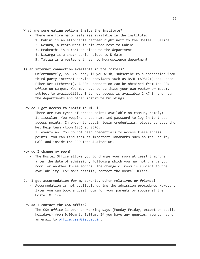### **What are some eating options inside the institute?**

- There are five major eateries available in the institute:
	- 1. Kabini is an affordable canteen right next to the Hostel Office
	- 2. Nesara, a restaurant is situated next to Kabini
	- 3. Prakruthi is a canteen close to the department
	- 4. Nisarga is a snack parlor close to D Gate
	- 5. Tattwa is a restaurant near to Neuroscience department

### **Is an internet connection available in the hostels?**

- Unfortunately, no. You can, if you wish, subscribe to a connection from third party internet service providers such as BSNL (ADSL2+) and Lance Fiber Net (Ethernet). A BSNL connection can be obtained from the BSNL office on campus. You may have to purchase your own router or modem, subject to availability. Internet access is available 24x7 in and near the departments and other institute buildings.

### **How do I get access to institute Wi-Fi?**

- There are two types of access points available on campus, namely: 1. iiscwlan: You require a username and password to log in to these access points. In order to obtain login credentials, please contact the Net Help team (Room 123) at SERC.

2. eventwlan: You do not need credentials to access these access points. You can find them at important landmarks such as the Faculty Hall and inside the JRD Tata Auditorium.

#### **How do I change my room?**

- The Hostel Office allows you to change your room at least 3 months after the date of admission, following which you may not change your room for another three months. The change of room is subject to the availability. For more details, contact the Hostel Office.

#### **Can I get accommodation for my parents, other relatives or friends?**

- Accommodation is not available during the admission procedure. However, later you can book a guest room for your parents or spouse at the Hostel Office.

### **How do I contact the CSA office?**

- The CSA office is open on working days (Monday-Friday, except on public holidays) from 9:00am to 5:00pm. If you have any queries, you can send an email to [office.csa@iisc.ac.in.](mailto:office.csa@iisc.ac.in)